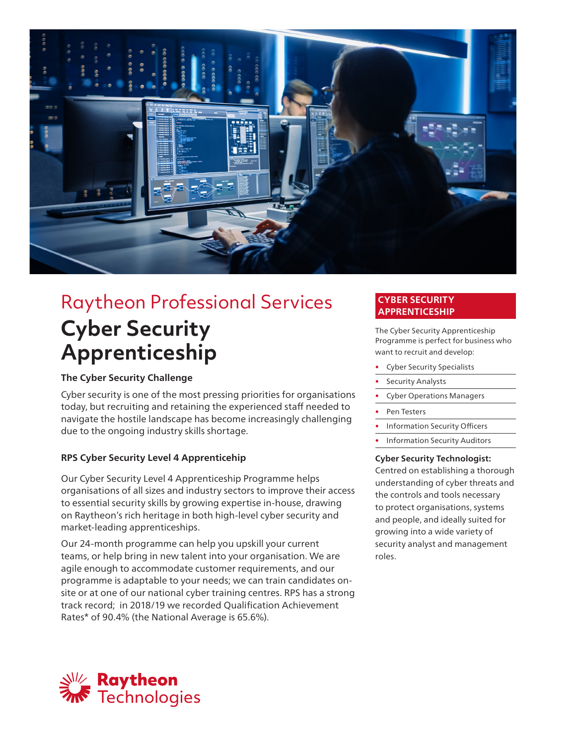

# Raytheon Professional Services **Cyber Security Apprenticeship**

## **The Cyber Security Challenge**

Cyber security is one of the most pressing priorities for organisations today, but recruiting and retaining the experienced staff needed to navigate the hostile landscape has become increasingly challenging due to the ongoing industry skills shortage.

## **RPS Cyber Security Level 4 Apprenticehip**

Our Cyber Security Level 4 Apprenticeship Programme helps organisations of all sizes and industry sectors to improve their access to essential security skills by growing expertise in-house, drawing on Raytheon's rich heritage in both high-level cyber security and market-leading apprenticeships.

Our 24-month programme can help you upskill your current teams, or help bring in new talent into your organisation. We are agile enough to accommodate customer requirements, and our programme is adaptable to your needs; we can train candidates onsite or at one of our national cyber training centres. RPS has a strong track record; in 2018/19 we recorded Qualification Achievement Rates\* of 90.4% (the National Average is 65.6%).

## **CYBER SECURITY APPRENTICESHIP**

The Cyber Security Apprenticeship Programme is perfect for business who want to recruit and develop:

- Cyber Security Specialists
- Security Analysts
- Cyber Operations Managers
- Pen Testers
- Information Security Officers
- Information Security Auditors

### **Cyber Security Technologist:**

Centred on establishing a thorough understanding of cyber threats and the controls and tools necessary to protect organisations, systems and people, and ideally suited for growing into a wide variety of security analyst and management roles.